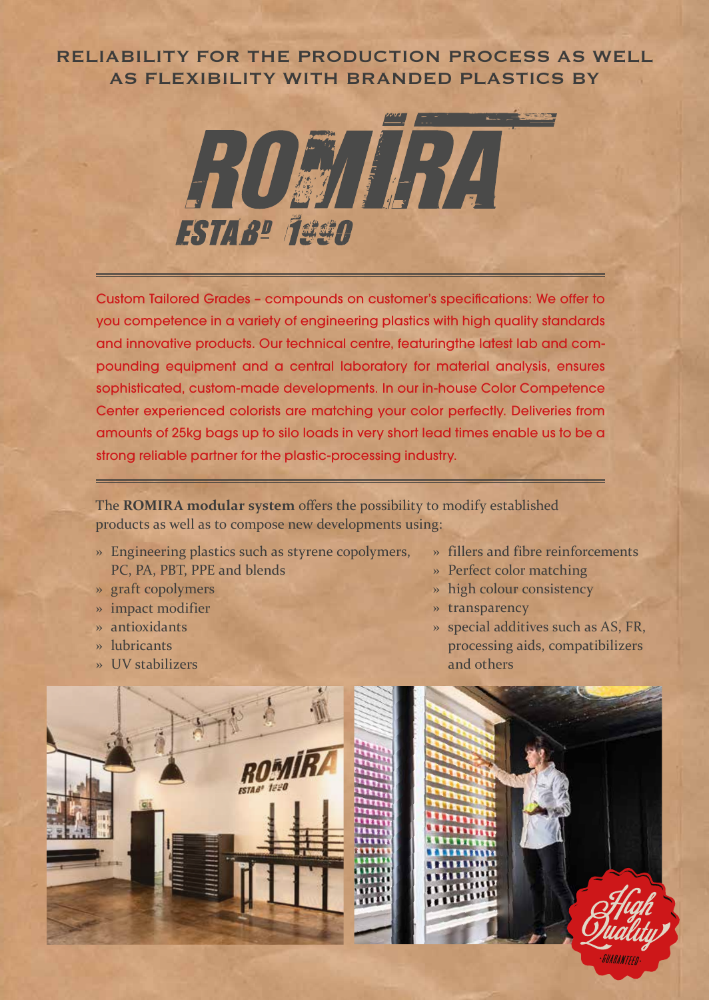## RELIABILITY FOR THE PRODUCTION PROCESS AS WELL AS FLEXIBILITY WITH BRANDED PLASTICS BY



Custom Tailored Grades – compounds on customer's specifications: We offer to you competence in a variety of engineering plastics with high quality standards and innovative products. Our technical centre, featuringthe latest lab and compounding equipment and a central laboratory for material analysis, ensures sophisticated, custom-made developments. In our in-house Color Competence Center experienced colorists are matching your color perfectly. Deliveries from amounts of 25kg bags up to silo loads in very short lead times enable us to be a strong reliable partner for the plastic-processing industry.

The **ROMIRA modular system** offers the possibility to modify established products as well as to compose new developments using:

- » Engineering plastics such as styrene copolymers, PC, PA, PBT, PPE and blends
- » graft copolymers
- » impact modifier
- » antioxidants
- » lubricants
- » UV stabilizers
- » fillers and fibre reinforcements
- » Perfect color matching
- » high colour consistency
- » transparency
- » special additives such as AS, FR, processing aids, compatibilizers and others